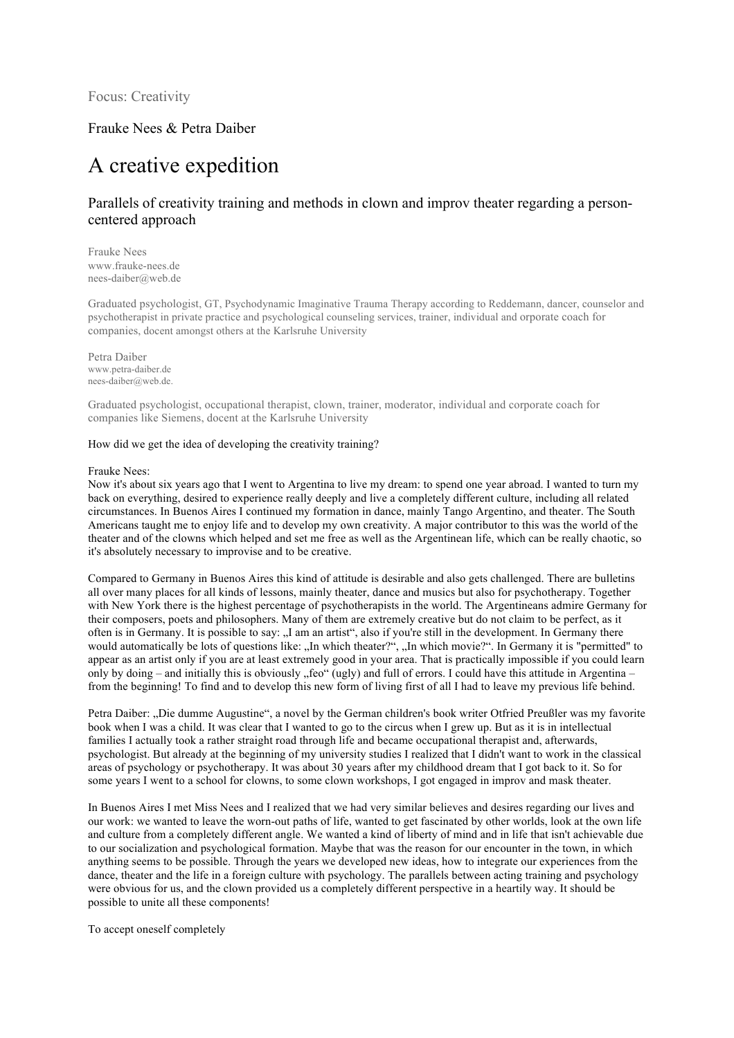Focus: Creativity

# Frauke Nees & Petra Daiber

# A creative expedition

# Parallels of creativity training and methods in clown and improv theater regarding a personcentered approach

Frauke Nees www.frauke-nees.de nees-daiber@web.de

Graduated psychologist, GT, Psychodynamic Imaginative Trauma Therapy according to Reddemann, dancer, counselor and psychotherapist in private practice and psychological counseling services, trainer, individual and orporate coach for companies, docent amongst others at the Karlsruhe University

Petra Daiber www.petra-daiber.de nees-daiber@web.de.

Graduated psychologist, occupational therapist, clown, trainer, moderator, individual and corporate coach for companies like Siemens, docent at the Karlsruhe University

#### How did we get the idea of developing the creativity training?

#### Frauke Nees:

Now it's about six years ago that I went to Argentina to live my dream: to spend one year abroad. I wanted to turn my back on everything, desired to experience really deeply and live a completely different culture, including all related circumstances. In Buenos Aires I continued my formation in dance, mainly Tango Argentino, and theater. The South Americans taught me to enjoy life and to develop my own creativity. A major contributor to this was the world of the theater and of the clowns which helped and set me free as well as the Argentinean life, which can be really chaotic, so it's absolutely necessary to improvise and to be creative.

Compared to Germany in Buenos Aires this kind of attitude is desirable and also gets challenged. There are bulletins all over many places for all kinds of lessons, mainly theater, dance and musics but also for psychotherapy. Together with New York there is the highest percentage of psychotherapists in the world. The Argentineans admire Germany for their composers, poets and philosophers. Many of them are extremely creative but do not claim to be perfect, as it often is in Germany. It is possible to say: "I am an artist", also if you're still in the development. In Germany there would automatically be lots of questions like: "In which theater?", "In which movie?". In Germany it is "permitted" to appear as an artist only if you are at least extremely good in your area. That is practically impossible if you could learn only by doing – and initially this is obviously "feo" (ugly) and full of errors. I could have this attitude in Argentina – from the beginning! To find and to develop this new form of living first of all I had to leave my previous life behind.

Petra Daiber: ..Die dumme Augustine", a novel by the German children's book writer Otfried Preußler was my favorite book when I was a child. It was clear that I wanted to go to the circus when I grew up. But as it is in intellectual families I actually took a rather straight road through life and became occupational therapist and, afterwards, psychologist. But already at the beginning of my university studies I realized that I didn't want to work in the classical areas of psychology or psychotherapy. It was about 30 years after my childhood dream that I got back to it. So for some years I went to a school for clowns, to some clown workshops, I got engaged in improv and mask theater.

In Buenos Aires I met Miss Nees and I realized that we had very similar believes and desires regarding our lives and our work: we wanted to leave the worn-out paths of life, wanted to get fascinated by other worlds, look at the own life and culture from a completely different angle. We wanted a kind of liberty of mind and in life that isn't achievable due to our socialization and psychological formation. Maybe that was the reason for our encounter in the town, in which anything seems to be possible. Through the years we developed new ideas, how to integrate our experiences from the dance, theater and the life in a foreign culture with psychology. The parallels between acting training and psychology were obvious for us, and the clown provided us a completely different perspective in a heartily way. It should be possible to unite all these components!

To accept oneself completely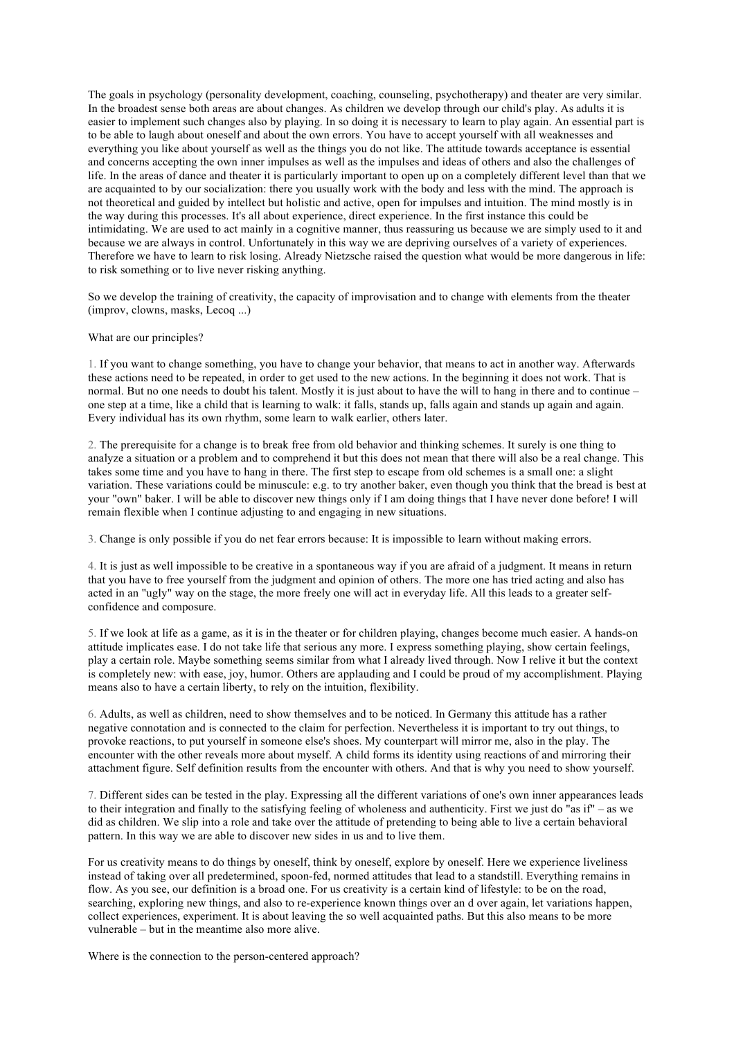The goals in psychology (personality development, coaching, counseling, psychotherapy) and theater are very similar. In the broadest sense both areas are about changes. As children we develop through our child's play. As adults it is easier to implement such changes also by playing. In so doing it is necessary to learn to play again. An essential part is to be able to laugh about oneself and about the own errors. You have to accept yourself with all weaknesses and everything you like about yourself as well as the things you do not like. The attitude towards acceptance is essential and concerns accepting the own inner impulses as well as the impulses and ideas of others and also the challenges of life. In the areas of dance and theater it is particularly important to open up on a completely different level than that we are acquainted to by our socialization: there you usually work with the body and less with the mind. The approach is not theoretical and guided by intellect but holistic and active, open for impulses and intuition. The mind mostly is in the way during this processes. It's all about experience, direct experience. In the first instance this could be intimidating. We are used to act mainly in a cognitive manner, thus reassuring us because we are simply used to it and because we are always in control. Unfortunately in this way we are depriving ourselves of a variety of experiences. Therefore we have to learn to risk losing. Already Nietzsche raised the question what would be more dangerous in life: to risk something or to live never risking anything.

So we develop the training of creativity, the capacity of improvisation and to change with elements from the theater (improv, clowns, masks, Lecoq ...)

#### What are our principles?

1. If you want to change something, you have to change your behavior, that means to act in another way. Afterwards these actions need to be repeated, in order to get used to the new actions. In the beginning it does not work. That is normal. But no one needs to doubt his talent. Mostly it is just about to have the will to hang in there and to continue – one step at a time, like a child that is learning to walk: it falls, stands up, falls again and stands up again and again. Every individual has its own rhythm, some learn to walk earlier, others later.

2. The prerequisite for a change is to break free from old behavior and thinking schemes. It surely is one thing to analyze a situation or a problem and to comprehend it but this does not mean that there will also be a real change. This takes some time and you have to hang in there. The first step to escape from old schemes is a small one: a slight variation. These variations could be minuscule: e.g. to try another baker, even though you think that the bread is best at your "own" baker. I will be able to discover new things only if I am doing things that I have never done before! I will remain flexible when I continue adjusting to and engaging in new situations.

3. Change is only possible if you do net fear errors because: It is impossible to learn without making errors.

4. It is just as well impossible to be creative in a spontaneous way if you are afraid of a judgment. It means in return that you have to free yourself from the judgment and opinion of others. The more one has tried acting and also has acted in an "ugly" way on the stage, the more freely one will act in everyday life. All this leads to a greater selfconfidence and composure.

5. If we look at life as a game, as it is in the theater or for children playing, changes become much easier. A hands-on attitude implicates ease. I do not take life that serious any more. I express something playing, show certain feelings, play a certain role. Maybe something seems similar from what I already lived through. Now I relive it but the context is completely new: with ease, joy, humor. Others are applauding and I could be proud of my accomplishment. Playing means also to have a certain liberty, to rely on the intuition, flexibility.

6. Adults, as well as children, need to show themselves and to be noticed. In Germany this attitude has a rather negative connotation and is connected to the claim for perfection. Nevertheless it is important to try out things, to provoke reactions, to put yourself in someone else's shoes. My counterpart will mirror me, also in the play. The encounter with the other reveals more about myself. A child forms its identity using reactions of and mirroring their attachment figure. Self definition results from the encounter with others. And that is why you need to show yourself.

7. Different sides can be tested in the play. Expressing all the different variations of one's own inner appearances leads to their integration and finally to the satisfying feeling of wholeness and authenticity. First we just do "as if" – as we did as children. We slip into a role and take over the attitude of pretending to being able to live a certain behavioral pattern. In this way we are able to discover new sides in us and to live them.

For us creativity means to do things by oneself, think by oneself, explore by oneself. Here we experience liveliness instead of taking over all predetermined, spoon-fed, normed attitudes that lead to a standstill. Everything remains in flow. As you see, our definition is a broad one. For us creativity is a certain kind of lifestyle: to be on the road, searching, exploring new things, and also to re-experience known things over an d over again, let variations happen, collect experiences, experiment. It is about leaving the so well acquainted paths. But this also means to be more vulnerable – but in the meantime also more alive.

Where is the connection to the person-centered approach?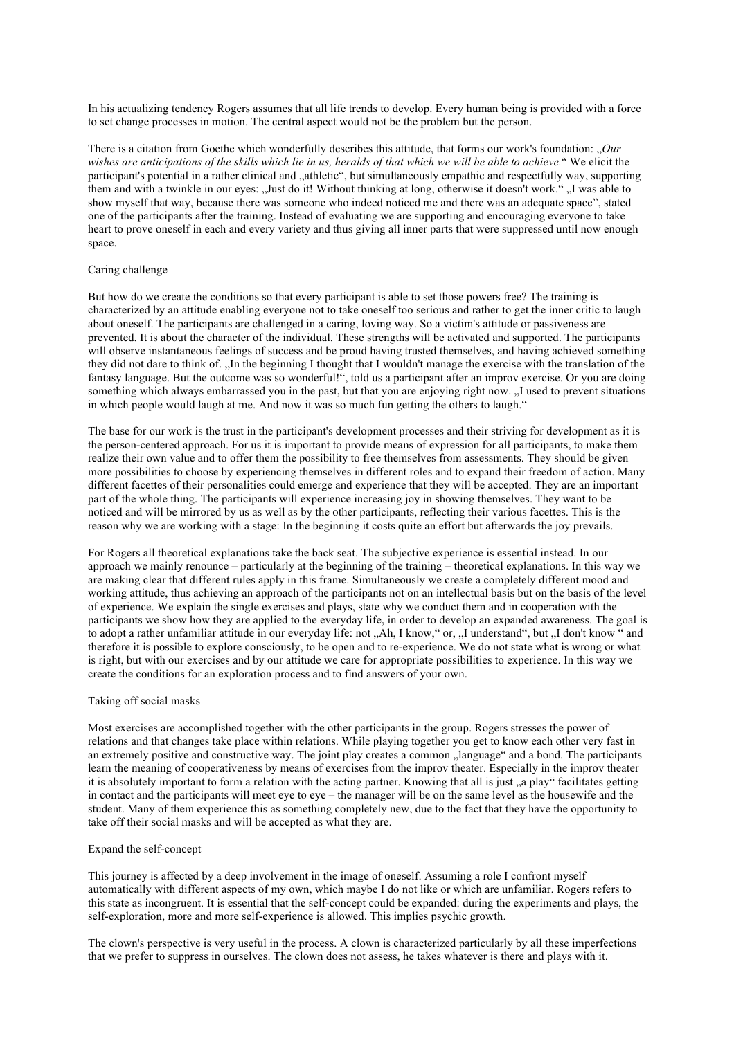In his actualizing tendency Rogers assumes that all life trends to develop. Every human being is provided with a force to set change processes in motion. The central aspect would not be the problem but the person.

There is a citation from Goethe which wonderfully describes this attitude, that forms our work's foundation: *Our wishes are anticipations of the skills which lie in us, heralds of that which we will be able to achieve.*" We elicit the participant's potential in a rather clinical and "athletic", but simultaneously empathic and respectfully way, supporting them and with a twinkle in our eyes: "Just do it! Without thinking at long, otherwise it doesn't work." "I was able to show myself that way, because there was someone who indeed noticed me and there was an adequate space", stated one of the participants after the training. Instead of evaluating we are supporting and encouraging everyone to take heart to prove oneself in each and every variety and thus giving all inner parts that were suppressed until now enough space.

#### Caring challenge

But how do we create the conditions so that every participant is able to set those powers free? The training is characterized by an attitude enabling everyone not to take oneself too serious and rather to get the inner critic to laugh about oneself. The participants are challenged in a caring, loving way. So a victim's attitude or passiveness are prevented. It is about the character of the individual. These strengths will be activated and supported. The participants will observe instantaneous feelings of success and be proud having trusted themselves, and having achieved something they did not dare to think of. "In the beginning I thought that I wouldn't manage the exercise with the translation of the fantasy language. But the outcome was so wonderful!", told us a participant after an improv exercise. Or you are doing something which always embarrassed you in the past, but that you are enjoying right now. I used to prevent situations in which people would laugh at me. And now it was so much fun getting the others to laugh."

The base for our work is the trust in the participant's development processes and their striving for development as it is the person-centered approach. For us it is important to provide means of expression for all participants, to make them realize their own value and to offer them the possibility to free themselves from assessments. They should be given more possibilities to choose by experiencing themselves in different roles and to expand their freedom of action. Many different facettes of their personalities could emerge and experience that they will be accepted. They are an important part of the whole thing. The participants will experience increasing joy in showing themselves. They want to be noticed and will be mirrored by us as well as by the other participants, reflecting their various facettes. This is the reason why we are working with a stage: In the beginning it costs quite an effort but afterwards the joy prevails.

For Rogers all theoretical explanations take the back seat. The subjective experience is essential instead. In our approach we mainly renounce – particularly at the beginning of the training – theoretical explanations. In this way we are making clear that different rules apply in this frame. Simultaneously we create a completely different mood and working attitude, thus achieving an approach of the participants not on an intellectual basis but on the basis of the level of experience. We explain the single exercises and plays, state why we conduct them and in cooperation with the participants we show how they are applied to the everyday life, in order to develop an expanded awareness. The goal is to adopt a rather unfamiliar attitude in our everyday life: not "Ah, I know," or, "I understand", but "I don't know " and therefore it is possible to explore consciously, to be open and to re-experience. We do not state what is wrong or what is right, but with our exercises and by our attitude we care for appropriate possibilities to experience. In this way we create the conditions for an exploration process and to find answers of your own.

### Taking off social masks

Most exercises are accomplished together with the other participants in the group. Rogers stresses the power of relations and that changes take place within relations. While playing together you get to know each other very fast in an extremely positive and constructive way. The joint play creates a common "language" and a bond. The participants learn the meaning of cooperativeness by means of exercises from the improv theater. Especially in the improv theater it is absolutely important to form a relation with the acting partner. Knowing that all is just , a play" facilitates getting in contact and the participants will meet eye to eye – the manager will be on the same level as the housewife and the student. Many of them experience this as something completely new, due to the fact that they have the opportunity to take off their social masks and will be accepted as what they are.

#### Expand the self-concept

This journey is affected by a deep involvement in the image of oneself. Assuming a role I confront myself automatically with different aspects of my own, which maybe I do not like or which are unfamiliar. Rogers refers to this state as incongruent. It is essential that the self-concept could be expanded: during the experiments and plays, the self-exploration, more and more self-experience is allowed. This implies psychic growth.

The clown's perspective is very useful in the process. A clown is characterized particularly by all these imperfections that we prefer to suppress in ourselves. The clown does not assess, he takes whatever is there and plays with it.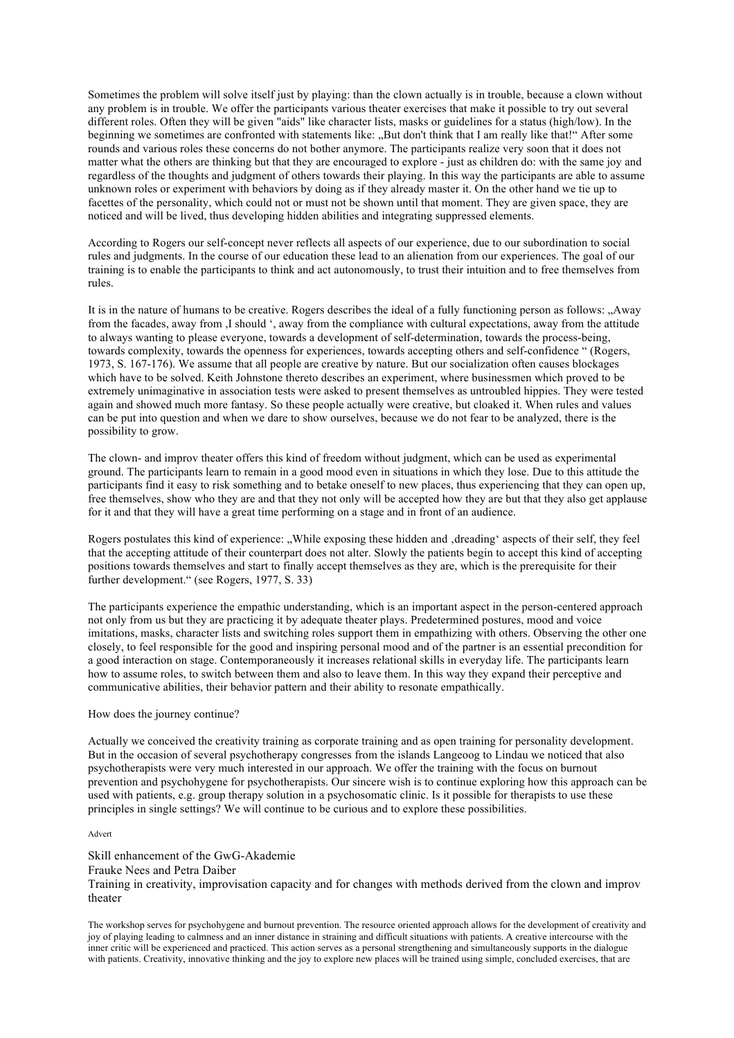Sometimes the problem will solve itself just by playing: than the clown actually is in trouble, because a clown without any problem is in trouble. We offer the participants various theater exercises that make it possible to try out several different roles. Often they will be given "aids" like character lists, masks or guidelines for a status (high/low). In the beginning we sometimes are confronted with statements like: ..But don't think that I am really like that!" After some rounds and various roles these concerns do not bother anymore. The participants realize very soon that it does not matter what the others are thinking but that they are encouraged to explore - just as children do: with the same joy and regardless of the thoughts and judgment of others towards their playing. In this way the participants are able to assume unknown roles or experiment with behaviors by doing as if they already master it. On the other hand we tie up to facettes of the personality, which could not or must not be shown until that moment. They are given space, they are noticed and will be lived, thus developing hidden abilities and integrating suppressed elements.

According to Rogers our self-concept never reflects all aspects of our experience, due to our subordination to social rules and judgments. In the course of our education these lead to an alienation from our experiences. The goal of our training is to enable the participants to think and act autonomously, to trust their intuition and to free themselves from rules.

It is in the nature of humans to be creative. Rogers describes the ideal of a fully functioning person as follows: "Away" from the facades, away from ,I should ', away from the compliance with cultural expectations, away from the attitude to always wanting to please everyone, towards a development of self-determination, towards the process-being, towards complexity, towards the openness for experiences, towards accepting others and self-confidence " (Rogers, 1973, S. 167-176). We assume that all people are creative by nature. But our socialization often causes blockages which have to be solved. Keith Johnstone thereto describes an experiment, where businessmen which proved to be extremely unimaginative in association tests were asked to present themselves as untroubled hippies. They were tested again and showed much more fantasy. So these people actually were creative, but cloaked it. When rules and values can be put into question and when we dare to show ourselves, because we do not fear to be analyzed, there is the possibility to grow.

The clown- and improv theater offers this kind of freedom without judgment, which can be used as experimental ground. The participants learn to remain in a good mood even in situations in which they lose. Due to this attitude the participants find it easy to risk something and to betake oneself to new places, thus experiencing that they can open up, free themselves, show who they are and that they not only will be accepted how they are but that they also get applause for it and that they will have a great time performing on a stage and in front of an audience.

Rogers postulates this kind of experience: While exposing these hidden and 'dreading' aspects of their self, they feel that the accepting attitude of their counterpart does not alter. Slowly the patients begin to accept this kind of accepting positions towards themselves and start to finally accept themselves as they are, which is the prerequisite for their further development." (see Rogers, 1977, S. 33)

The participants experience the empathic understanding, which is an important aspect in the person-centered approach not only from us but they are practicing it by adequate theater plays. Predetermined postures, mood and voice imitations, masks, character lists and switching roles support them in empathizing with others. Observing the other one closely, to feel responsible for the good and inspiring personal mood and of the partner is an essential precondition for a good interaction on stage. Contemporaneously it increases relational skills in everyday life. The participants learn how to assume roles, to switch between them and also to leave them. In this way they expand their perceptive and communicative abilities, their behavior pattern and their ability to resonate empathically.

## How does the journey continue?

Actually we conceived the creativity training as corporate training and as open training for personality development. But in the occasion of several psychotherapy congresses from the islands Langeoog to Lindau we noticed that also psychotherapists were very much interested in our approach. We offer the training with the focus on burnout prevention and psychohygene for psychotherapists. Our sincere wish is to continue exploring how this approach can be used with patients, e.g. group therapy solution in a psychosomatic clinic. Is it possible for therapists to use these principles in single settings? We will continue to be curious and to explore these possibilities.

## Advert

Skill enhancement of the GwG-Akademie Frauke Nees and Petra Daiber Training in creativity, improvisation capacity and for changes with methods derived from the clown and improv theater

The workshop serves for psychohygene and burnout prevention. The resource oriented approach allows for the development of creativity and joy of playing leading to calmness and an inner distance in straining and difficult situations with patients. A creative intercourse with the inner critic will be experienced and practiced. This action serves as a personal strengthening and simultaneously supports in the dialogue with patients. Creativity, innovative thinking and the joy to explore new places will be trained using simple, concluded exercises, that are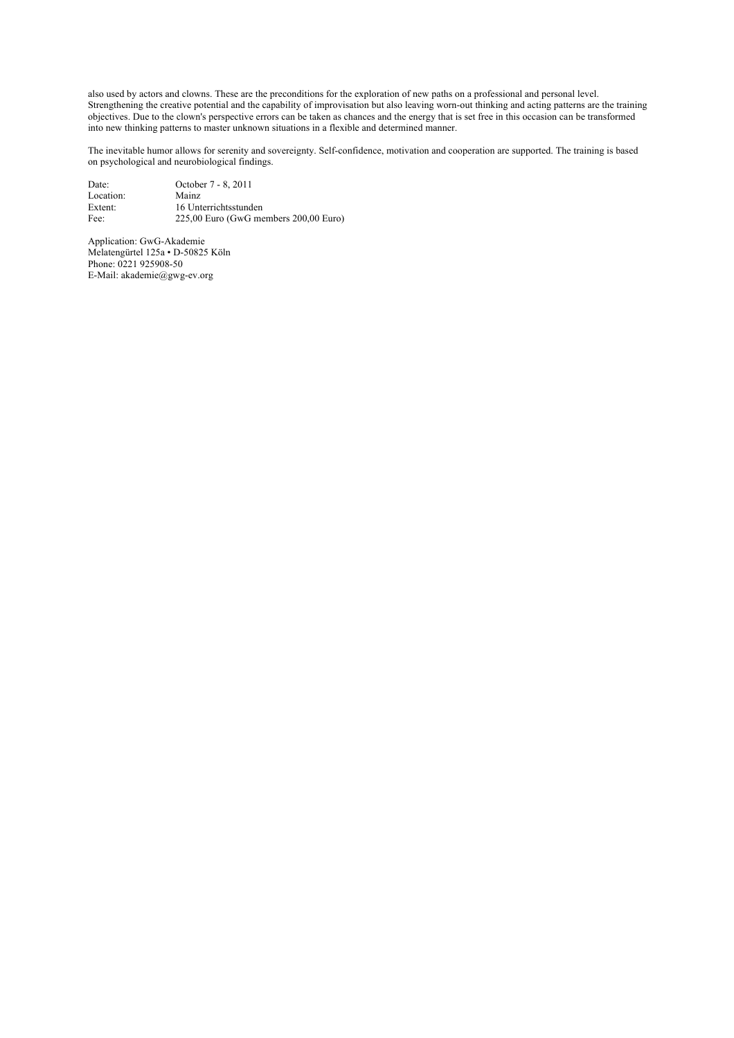also used by actors and clowns. These are the preconditions for the exploration of new paths on a professional and personal level. Strengthening the creative potential and the capability of improvisation but also leaving worn-out thinking and acting patterns are the training Strengthening the creative potential and the capability of improvisation but objectives. Due to the clown's perspective errors can be taken as chances and the energy that is set free in this occasion can be transformed into new thinking patterns to master unknown situations in a flexible and determined manner.

The inevitable humor allows for serenity and sovereignty. Self-confidence, motivation and cooperation are supported. The training is based on psychological and neurobiological findings.

| Date:     | October 7 - 8, 2011                   |
|-----------|---------------------------------------|
| Location: | Mainz                                 |
| Extent:   | 16 Unterrichtsstunden                 |
| Fee:      | 225,00 Euro (GwG members 200,00 Euro) |

Application: GwG-Akademie Melatengürtel 125a • D-50825 Köln Phone: 0221 925908-50 E-Mail: akademie@gwg-ev.org